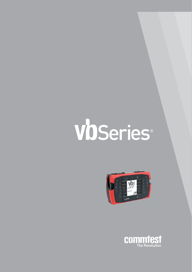# VbSeries®



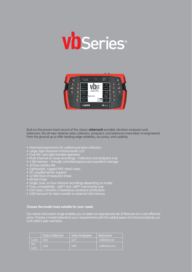



Built on the proven track record of the classic **vbSeries®** portable vibration analyzers and balancers, the all-new vbSeries data collectors, analyzers, and balancers have been re-engineered from the ground up to offer leading-edge reliability, accuracy, and usability.

- Improved ergonomics for walkaround data collection
- Large, high resolution (HVGA) backlit LCD
- True left- and right-handed operation
- Multi-channel on route recordings Collectors and analyzers only
- $\bullet~$  1 GB memory Virtually unlimited spectra and waveform storage
- 10 hour battery life
- Lightweight, rugged IP65-rated cases
- DC-coupled sensor support
- 12 800 lines of resolution (max)
- $\bullet$  40 kHz Fmax
- $\bullet\,$  Single, Dual, or Four-channel recordings depending on model
- Triax. compatibility vb6™ and vb8™ instruments only
- CSA Class I, Division 2 Hazardous Locations certification
- USB host port for data transfer to external USB memory

**Choose the model most suitable for your needs hoose for your** 

Our tiered instrument range enables you to select an appropriate set of features at a cost-effective price. Choose a model tailored to your requirements with the added peace of mind provided by our rock solid 5 year warranty.

|              | <b>Data Collectors</b> | Data Analyzers' | <b>Balancers</b> |
|--------------|------------------------|-----------------|------------------|
| Lean         | v <sub>b5</sub>        | vb7             | vbBalancer       |
| De-<br>luxe. | v <sub>b6</sub>        | vb8             | vbBalancer+      |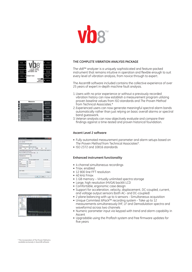



| Measure                                                                                         | Spectrum         |
|-------------------------------------------------------------------------------------------------|------------------|
| Spectrum/Wayeform                                                                               | Waveform         |
| <b>Demockfation</b><br><b>RF</b> ack<br><b>Tachomotor Display</b><br>Time Synchronous Averaging | Demod            |
| <b>Bump Test</b><br>Caast-down/Run-up                                                           | <b>6Pack</b>     |
| <b>Cross Channel Phase</b><br>Long Time Waveform<br><b>Keypad Entry</b><br><b>Average Value</b> | Tach             |
|                                                                                                 | <b>Time Sync</b> |

|                                                                                                                                            | Band Alarm Editor |              |        |                               |    | <b>COLOR</b><br>٠         |
|--------------------------------------------------------------------------------------------------------------------------------------------|-------------------|--------------|--------|-------------------------------|----|---------------------------|
| Frow a name to describe this about band.                                                                                                   |                   |              |        |                               |    |                           |
| 1.5K - 2.0X RFM                                                                                                                            |                   |              |        |                               |    |                           |
| Duces for data has for alass applies to                                                                                                    |                   |              |        |                               |    |                           |
| Spectrum                                                                                                                                   |                   | ٠            |        |                               |    |                           |
| Enter the begannour cenge covered by this alien band:                                                                                      |                   |              |        |                               |    |                           |
| 19,939                                                                                                                                     | He-               |              | $\sim$ | 36,585                        | Hz | ۰                         |
| Choose whether the alarm is checked against the Peak value in the Inquency sange or against the<br>total Pover within the frequency range. |                   |              |        |                               |    |                           |
| Paver lovesal RMS poves in the hequency range)                                                                                             |                   |              |        |                               |    |                           |
| Take 4 the sede of the freeshold values                                                                                                    |                   |              |        |                               |    |                           |
| Velocity brasily and                                                                                                                       |                   |              |        |                               |    |                           |
| Erner fra alann freezfights farm.                                                                                                          |                   |              |        |                               |    |                           |
| Alats type                                                                                                                                 |                   |              |        | Fisia stati Largitude exceeds |    | <b>Englishment School</b> |
|                                                                                                                                            |                   | <b>1.EIE</b> |        |                               |    |                           |
| Aine                                                                                                                                       | ۰                 |              |        |                               |    |                           |
| Danger                                                                                                                                     | ٠                 | 2425         |        |                               |    |                           |
| Channel Inspectation                                                                                                                       | ٠                 |              |        |                               |    |                           |
| Channel Insperation                                                                                                                        | ۰                 |              |        |                               |    |                           |



### **THE COMPLETE VIBRATION ANALYSIS PACKAGE**

The vb8™ analyzer is a uniquely sophisticated and feature-packed instrument that remains intuitive in operation and flexible enough to suit every level of vibration analysis, from novice through to expert.

The Ascent® software included contains the collective experience of over 25 years of expert in-depth machine fault analysis.

- 1. Users with no prior experience or without a previously recorded vibration history can now establish a measurement program utilizing proven baseline values from ISO standards and *The Proven Method* from Technical Associates.\*
- 2. Experienced users can now generate meaningful spectral alarm bands automatically rather than just relying on basic overall alarms or spectral band guesswork.
- 3. Veteran analysts can now objectively evaluate and compare their findings against a time-tested and proven historical foundation.

### **Ascent Level 2 software**

- Fully automated measurement parameter and alarm setups based on *The Proven Method* from Technical Associates\*.
- ISO 2372 and 10816 standards

### **Enhanced instrument functionality**

- 4 channel simultaneous recordings
- Triax. enabled
- 12 800 line FFT resolution
- 40 kHz Fmax
- 1 GB memory Virtually unlimited spectra storage
- Large, high resolution (HVGA) backlit LCD
- Comfortable, ergonomic case design
- Support for acceleration, velocity, displacement, DC-coupled, current, and voltage output sensors (both AC- and DC-coupled)
- 2 plane balancing with up to 4 sensors Simultaneous acquisition
- Unique Commtest 6Pack™ recording system Take up to 12 measurements simultaneously (HF, LF and Demodulation spectra and waveforms) across two channels
- Numeric parameter input via keypad with trend and alarm capability in Ascent
- Upgradable using the *Proflash* system and free firmware updates for five years

\* The incorporation of The Proven Method is available exclusively in Ascent® software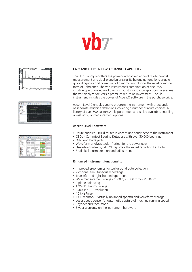



| ۰                                            | -- |
|----------------------------------------------|----|
| <b>CONTRACTOR</b>                            |    |
|                                              |    |
|                                              |    |
|                                              |    |
| and the property of<br><b>John Publisher</b> |    |
|                                              |    |

| - 61<br>$-1.73$<br>$H$ $A$<br>讲<br>в<br>- 35<br>59 |                               |                                             |            |                 |                                          |                |                     |
|----------------------------------------------------|-------------------------------|---------------------------------------------|------------|-----------------|------------------------------------------|----------------|---------------------|
| <b>SAMME</b>                                       | Seeanders Tax                 |                                             |            |                 | for for loss low has the                 |                |                     |
| <b>Marie Tigano</b>                                |                               |                                             |            |                 |                                          |                |                     |
|                                                    | look land lankscapes          | <b>Service</b>                              | <b>AME</b> |                 | <b>Cold Made</b>                         | $-$            | <b>Janet Lynnes</b> |
|                                                    | last take information         |                                             |            |                 | <b>CHEVER</b>                            |                | <b>STAN</b>         |
| <b>COLLAGE</b>                                     | <b>WEIGHTER</b>               |                                             | ۰          |                 |                                          | ÷              | m n                 |
| m                                                  |                               | Sauce 1 Edit Strategy, 2 840<br><b>COLL</b> |            | --              |                                          | ÷              | 1488                |
| <b>Hotel</b>                                       |                               | 100 Canada St                               |            |                 | $\overline{\phantom{a}}$                 |                | $\sim$              |
| <b>Bank Street</b>                                 | <b>Services</b>               | <b>Montag Francis</b>                       |            |                 | <b>SOM AND</b>                           |                | ing a               |
| Endsch-<br>$\sim$                                  | <b>ALCOHOL:</b>               |                                             | <b>LES</b> | <b>Jose 481</b> |                                          |                | <b>MTH</b>          |
| <b>Company</b>                                     | <b><i>SERVICE COLLEGE</i></b> | ter Estate<br><b>Service</b>                |            |                 |                                          | <b>Section</b> | <b>SHAW</b>         |
| <b>CONTRACTOR</b><br>-                             | and top 200 mil.              | min last lists.<br>Mich. 1. 23. 0.00        |            |                 | <b>BEEL FRAME &amp; COLORADO PROFILE</b> |                |                     |
|                                                    | <b>COLOR</b>                  | <b>Contract Contract Contract</b>           | $\sim$     |                 | <b>State James</b>                       | <b>Link</b>    | 24.004              |
|                                                    | <b>Brown Co. (MPM)</b>        |                                             |            |                 |                                          |                | <b>MAG</b>          |
|                                                    | Street 21 Minutes             | <b>Sollier</b>                              |            |                 | $\overline{a}$                           | <b>STATE</b>   | Links:              |

### **EASY AND EFFICIENT TWO CHANNEL CAPABILITY**

The vb7™ analyzer offers the power and convenience of dual-channel measurement and dual-plane balancing. Its balancing functions enable quick diagnosis and correction of dynamic unbalance, the most common form of unbalance. The vb7 instrument's combination of accuracy, intuitive operation, ease of use, and outstanding storage capacity ensures the vb7 analyzer delivers a premium return on investment. The vb7 instrument includes the powerful Ascent® software in the purchase price.

Ascent Level 2 enables you to program the instrument with thousands of separate machine definitions, covering a number of route choices. A library of over 300 customizable parameter sets is also available, enabling a vast array of measurement options.

### **Ascent Level 2 software**

- Route enabled Build routes in Ascent and send these to the instrument
- CBDb Commtest Bearing Database with over 30 000 bearings
- Orbit and Bode plots
- Waveform analysis tools Perfect for the power user
- User-designable SQL/HTML reports Unlimited reporting flexibility
- Statistical alarm creation and adjustment

### **Enhanced instrument functionality**

- Improved ergonomics for walkaround data collection
- 2 channel simultaneous recordings
- True left- and right-handed operation
- Wide measurement range 1000 g, 25 000 mm/s, 2500mm
- 2 plane balancing
- ≥ 95 dB dynamic range
- 6400 line FFT resolution
- 40 kHz Fmax
- 1 GB memory Virtually unlimited spectra and waveform storage
- Laser speed sensor for automatic capture of machine running speed
- Keyphasor® tach mode
- 5 year warranty on the instrument hardware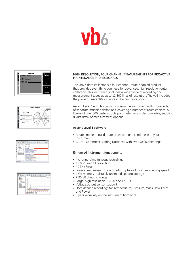

| Measure                                          | Spectrum |
|--------------------------------------------------|----------|
| Spectrum/Waveform<br>Demodulation                | Waveform |
| <b>6Pack</b>                                     | Demod    |
| <b>Tachometer Display</b><br><b>Keypad Entry</b> |          |
| Average Value                                    | 6Pack    |
|                                                  | Tach     |
|                                                  |          |
|                                                  | Keypad   |



|                 | ٠<br>в<br>-<br>٠<br>c<br>≖                                                                                                              | ٠<br>-<br>= |
|-----------------|-----------------------------------------------------------------------------------------------------------------------------------------|-------------|
|                 | <b>Exception Report</b>                                                                                                                 |             |
|                 | <b>Increase Figure Relate</b><br>Supporters.<br><b>Milled + M Floor</b>                                                                 |             |
| <b>ALCOHOL:</b> | to first here                                                                                                                           |             |
|                 | <b><i>VEHICLERANCE</i></b><br>direct may be in the company of a pro-                                                                    |             |
|                 | with a Tighty - Sheeper allows, humanitary the<br>and the state of the state of the                                                     |             |
|                 | Associated, and said at<br>ALT FORM AT THE WAY THE TREPAND SURGEN HOMES.<br><b>GATING DAY, FRY AT HIRLS</b>                             |             |
|                 | Three is to in a sight load to a provide                                                                                                |             |
|                 | <b>Deliver Two Associations</b><br>the bankers automatic company of his billion                                                         |             |
|                 | <b><i>Spot Metal L.R. S. L.R. Modern L.C. L.</i>R.</b><br>We Aware to 41 th it blows was 2-1-1-1                                        |             |
|                 | With A stackless Life city of late confurtable to<br>President Park Education and Alliance Mills reserve allo<br>to Garciana automobile |             |
|                 | Council of Texas in 1.5 Edit 1.4 Land and Texas<br>hands a final affairs for a series and in the start stresses on                      |             |
|                 | Concert more in Civilia Stationers and Car<br>1964 Flashway, Jan 704, 704-233, ETX annual concent                                       |             |
|                 | Hickory & D.H.H. Leading<br>(R) E Harring to CAT, Pt. 21, 11 mm to straig 1.                                                            |             |

|                                              |   | <b>Board Day</b>                                    | в<br>ı                | $\sim$<br>÷ |
|----------------------------------------------|---|-----------------------------------------------------|-----------------------|-------------|
| ---<br>ï<br>٠                                |   |                                                     |                       |             |
| ٠<br>þ<br>٠<br>ï                             |   |                                                     |                       |             |
| $-$<br>۰                                     |   |                                                     |                       |             |
|                                              |   |                                                     |                       |             |
|                                              |   |                                                     |                       |             |
| <b>Ind. Scott o. L.S.</b><br>the bort u.s.t. |   |                                                     |                       |             |
| Ē<br>a transmitting a<br>a commentation<br>٠ |   |                                                     |                       |             |
| ٠<br>٠                                       |   |                                                     | <b>Terry Charles</b>  |             |
|                                              | ۰ |                                                     |                       |             |
|                                              |   | <b>Installed Link</b><br><br><b>HATCH</b><br>$-714$ | <b>And Amed</b><br>52 |             |

### **HIGH RESOLUTION, FOUR CHANNEL MEASUREMENTS FOR PROACTIVE MAINTENANCE PROFESSIONALS**

The vb6™ data collector is a four channel, route-enabled product that provides everything you need for advanced, high resolution data collection. This instrument includes a wide range of recording and measurement types at up to 12 800 lines of resolution. The vb6 includes the powerful Ascent® software in the purchase price.

Ascent Level 1 enables you to program the instrument with thousands of separate machine definitions, covering a number of route choices. A library of over 300 customizable parameter sets is also available, enabling a vast array of measurement options.

### **Ascent Level 1 software**

- Route enabled Build routes in Ascent and send these to your instrument
- CBDb Commtest Bearing Database with over 30 000 bearings

### **Enhanced instrument functionality**

- 4 channel simultaneous recordings
- 12 800 line FFT resolution
- 40 kHz Fmax
- Laser speed sensor for automatic capture of machine running speed
- 1 GB memory Virtually unlimited spectra storage
- ≥ 95 dB dynamic range
- Large, high resolution (HVGA) backlit LCD
- Voltage output sensor support
- User-defined recordings for Temperature, Pressure, Mass Flow, Force, and Power
- 5 year warranty on the instrument hardware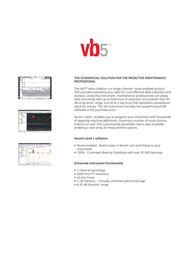



|                     | ٠<br>ı<br>۰<br>٠<br>c<br>ᆖ<br>=                         | ž.<br>- |
|---------------------|---------------------------------------------------------|---------|
| ч<br>ı              |                                                         |         |
| $-$                 |                                                         |         |
|                     |                                                         |         |
|                     |                                                         |         |
| $\sim$<br>$-1$<br>- | <b>STATISTICS</b>                                       |         |
|                     |                                                         |         |
|                     |                                                         |         |
|                     |                                                         |         |
| -                   | in Issue Inc. carrier, some<br>person personal courses. | --      |

| ı        | Ε<br>ᆖ<br>-<br>÷<br>c<br><b>STORY</b> |
|----------|---------------------------------------|
|          | $10114 +$<br>185.00                   |
| ţ        |                                       |
| ≍<br>$-$ |                                       |
|          | j                                     |
|          |                                       |
| ×        |                                       |
| ÷        |                                       |
|          | I                                     |
|          |                                       |
|          |                                       |
|          |                                       |

### **THE ECONOMICAL SOLUTION FOR THE PROACTIVE MAINTENANCE PROFESSIONAL**

The vb5™ data collector is a single channel, route-enabled product that provides everything you need for cost-effective data collection and analysis. Using this instrument, maintenance professionals can easily take recordings with up to 6400 lines of resolution and greater than 95 dB of dynamic range, and all at a low price that represents exceptional value for money. The vb5 instrument includes the powerful Ascent® software in the purchase price.

Ascent Level 1 enables you to program your instrument with thousands of separate machine definitions, covering a number of route choices. A library of over 300 customizable parameter sets is also available, enabling a vast array of measurement options.

### **Ascent Level 1 software**

- Route enabled Build routes in Ascent and send these to your instrument
- CBDb Commtest Bearing Database with over 30 000 bearings

### **Enhanced instrument functionality**

- 1 channel recordings
- 6400 line FFT resolution
- 40 kHz Fmax
- 1 GB memory Virtually unlimited spectra storage
- ≥ 95 dB dynamic range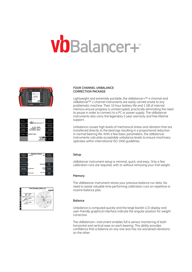## VOBalancer+



| Balance              | VDBalancer+                            | Elatietco                 |
|----------------------|----------------------------------------|---------------------------|
| Moasuro<br>Vibration | vb SIN: 40000                          | Mossuro<br>Vibration      |
| Review<br>Vibration  | Firmware v3.1.11<br>Deacnption: vbBsl+ | Roview<br>Viteration      |
| Falders              | Detault Folder<br>09/03/34             | <b>USB Flash</b><br>Denne |
|                      | 100%<br>09:26:10<br>05/07/2010         | Options                   |

| Balance                | <b>Balance Setup</b> |           | Weight                    |
|------------------------|----------------------|-----------|---------------------------|
| Planes                 | $1(360^{\circ})$     | WR        | Orientation               |
| # Sensors              | t                    |           |                           |
| # Averages             | 1                    | Standard  | Tach<br>Type              |
| Machino<br>Information | (optional)           | a/kg<br>m | Weight<br><b>Lin Dist</b> |
| Fmax                   | Automatic            | mm rms    | Store<br>Units            |



### **FOUR CHANNEL UNBALANCE CORRECTION PACKAGE**

Lightweight and extremely portable, the vbBalancer+™ 4 channel and vbBalancer™ 2 channel instruments are easily carried onsite to any problematic machine. Their 10 hour battery life and 1 GB of internal memory ensure progress is uninterrupted, practically eliminating the need to pause in order to connect to a PC or power supply. The vbBalancer instruments also carry the legendary 5 year warranty and free lifetime support.

Unbalance causes high levels of mechanical stress and vibration that are transferred directly to the bearings resulting in a proportional reduction in normal bearing life. With a few basic parameters, the vbBalancer instruments calculate acceptable unbalance levels to ensure machinery operates within international ISO 1940 guidelines.

### **Setup**

vbBalancer instrument setup is minimal, quick, and easy. Only a few calibration runs are required, with or without removing your trial weight.

### **Memory**

The vbBalancer instrument stores your previous balance run data. No need to waste valuable time performing calibration runs on repetitive or routine balance jobs.

### **Balance**

Unbalance is computed quickly and the large backlit LCD display and user-friendly graphical interface indicate the angular position for weight correction.

The vbBalancer+ instrument enables full 4-sensor monitoring of both horizontal and vertical axes on each bearing. This ability provides confidence that a balance on any one axis has not worsened vibrations on the other.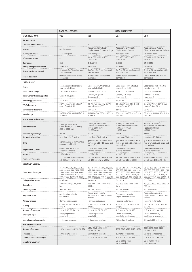|                                  | <b>DATA COLLECTORS</b>                                                                                                                                                 |                                                                                                                                                                        | <b>DATA ANALYZERS</b>                                                                                                                                                  |                                                                                                                                                                        |
|----------------------------------|------------------------------------------------------------------------------------------------------------------------------------------------------------------------|------------------------------------------------------------------------------------------------------------------------------------------------------------------------|------------------------------------------------------------------------------------------------------------------------------------------------------------------------|------------------------------------------------------------------------------------------------------------------------------------------------------------------------|
| <b>SPECIFICATIONS</b>            | vb5                                                                                                                                                                    | vb6                                                                                                                                                                    | vb7                                                                                                                                                                    | v <sub>b8</sub>                                                                                                                                                        |
| Sensor Input                     |                                                                                                                                                                        |                                                                                                                                                                        |                                                                                                                                                                        |                                                                                                                                                                        |
| <b>Channels (simultaneous)</b>   | $\mathbf{1}$                                                                                                                                                           | 4                                                                                                                                                                      | $\overline{c}$                                                                                                                                                         | 4                                                                                                                                                                      |
| <b>Sensors</b>                   | Accelerometer                                                                                                                                                          | Accelerometer, Velocity,<br>Displacement, Current, Voltage                                                                                                             | Accelerometer, Velocity,<br>Displacement, Current                                                                                                                      | Accelerometer, Velocity,<br>Displacement, Current, Voltage                                                                                                             |
| AC coupled range                 | 16 V peak-peak                                                                                                                                                         | 16 V peak-peak                                                                                                                                                         | 16 V peak-peak                                                                                                                                                         | 16 V peak-peak                                                                                                                                                         |
| DC coupled range                 |                                                                                                                                                                        | 0 V to 20 V, -10 V to 10 V,<br>$-20V$ to $0V$                                                                                                                          | 0 V to 20 V, -10 V to 10 V,<br>$-20V$ to $0V$                                                                                                                          | 0 V to 20 V, -10 V to 10 V,<br>$-20V$ to $0V$                                                                                                                          |
| Connectors                       | <b>BNC</b>                                                                                                                                                             | BNC, LEMO                                                                                                                                                              | 2x BNC                                                                                                                                                                 | BNC, LEMO                                                                                                                                                              |
| Analog to digital conversion     | 24-bit ADC                                                                                                                                                             | 24-bit ADC                                                                                                                                                             | 24-bit ADC                                                                                                                                                             | 24-bit ADC                                                                                                                                                             |
| Sensor excitation current        | 0 mA or 2.2 mA (configurable),<br>24 V maximum                                                                                                                         | 0 mA or 2.2 mA (configurable).<br>24 V maximum                                                                                                                         | 0 mA or 2.2 mA (configurable),<br>24 V maximum                                                                                                                         | 0 mA or 2.2 mA (configurable).<br>24 V maximum                                                                                                                         |
| Sensor detection                 | Warns if short circuit or not<br>connected                                                                                                                             | Warns if short circuit or not<br>connected                                                                                                                             | Warns if short circuit or not<br>connected                                                                                                                             | Warns if short circuit or not<br>connected                                                                                                                             |
| Tachometer                       |                                                                                                                                                                        |                                                                                                                                                                        |                                                                                                                                                                        |                                                                                                                                                                        |
| Sensor                           | Laser sensor with reflective<br>tape included in kit                                                                                                                   | Laser sensor with reflective<br>tape included in kit                                                                                                                   | Laser sensor with reflective<br>tape included in kit                                                                                                                   | Laser sensor with reflective<br>tape included in kit                                                                                                                   |
| Laser sensor range               | 10 cm to 2 m nominal                                                                                                                                                   | 10 cm to 2 m nominal                                                                                                                                                   | 10 cm to 2 m nominal                                                                                                                                                   | 10 cm to 2 m nominal                                                                                                                                                   |
| Other Sensor types supported     | Contact, TTL pulse                                                                                                                                                     | Contact, TTL pulse,<br>Keyphasor®                                                                                                                                      | Contact, TTL pulse,<br>Keyphasor®                                                                                                                                      | Contact, TTL pulse,<br>Keyphasor®                                                                                                                                      |
| Power supply to sensor           | 5 V, 50 mA                                                                                                                                                             | 5 V, 50 mA                                                                                                                                                             | 5 V, 50 mA                                                                                                                                                             | 5 V, 50 mA                                                                                                                                                             |
| <b>TTL Pulse rating</b>          | 3.5 V (4 mA) min, 28 V (6 mA)<br>max, off-state 0.8 V                                                                                                                  | 3.5 V (4 mA) min, 28 V (6 mA)<br>max, off-state 0.8 V                                                                                                                  | 3.5 V (4 mA) min, 28 V (6 mA)<br>max, off-state 0.8 V                                                                                                                  | 3.5 V (4 mA) min, 28 V (6 mA)<br>max, off-state 0.8 V                                                                                                                  |
| Keyphasor <sup>®</sup> threshold |                                                                                                                                                                        | $13V \pm 1V$                                                                                                                                                           | $13V \pm 1V$                                                                                                                                                           | $13V \pm 1V$                                                                                                                                                           |
| Speed range                      | 30 RPM to 300 000 RPM (0.5 Hz<br>to 5 kHz)                                                                                                                             | 30 RPM to 300 000 RPM (0.5 Hz<br>to 5 kHz)                                                                                                                             | 30 RPM to 300 000 RPM (0.5 Hz<br>to 5 kHz)                                                                                                                             | 30 RPM to 300 000 RPM (0.5 Hz<br>to 5 kHz)                                                                                                                             |
| <b>Parameter Indication</b>      |                                                                                                                                                                        |                                                                                                                                                                        |                                                                                                                                                                        |                                                                                                                                                                        |
| <b>Maximum levels</b>            | >1000 g (10 000 m/s2),<br>>1000 in/sec (25 000 mm/s),<br>>100 in (2500 mm)                                                                                             | >1000 g (10 000 m/s2),<br>>1000 in/sec (25 000 mm/s),<br>>100 in (2500 mm),<br>>10 000 Amps                                                                            | >1000 g (10 000 m/s2),<br>>1000 in/sec (25 000 mm/s),<br>>100 in (2500 mm),<br>>10 000 Amps                                                                            | >1000 g (10 000 m/s2),<br>>1000 in/sec (25 000 mm/s),<br>>100 in (2500 mm),<br>>10 000 Amps                                                                            |
| Dynamic signal range             | >95 dB                                                                                                                                                                 | $>95$ dB                                                                                                                                                               | >95 dB                                                                                                                                                                 | $>95$ dB                                                                                                                                                               |
| <b>Harmonic distortion</b>       | Less than -70 dB typical                                                                                                                                               | Less than -70 dB typical                                                                                                                                               | Less than -70 dB typical                                                                                                                                               | Less than -70 dB typical                                                                                                                                               |
| Units                            | g or m/s2, in/s or mm/s, mil or<br>mm or um adB, vdB                                                                                                                   | g or m/s2, in/s or mm/s, mil or<br>mm or µm adB, vdB, amps and<br>user-defined                                                                                         | g or m/s2, in/s or mm/s, mil or<br>mm or µm adB, vdB amps and<br>user-defined                                                                                          | g or m/s2, in/s or mm/s, mil or<br>mm or µm adB, vdB amps and<br>user-defined                                                                                          |
| Magnitude & Cursors              | Overall RMS value, dual<br>cursors, harmonics                                                                                                                          | Overall RMS value, dual<br>cursors, harmonics                                                                                                                          | Overall RMS value, dual<br>cursors, harmonics                                                                                                                          | Overall RMS value, dual<br>cursors, harmonics                                                                                                                          |
| Accuracy                         | $± 1\% (0.1 dB)$                                                                                                                                                       | $± 1\% (0.1 dB)$                                                                                                                                                       | $± 1\% (0.1 dB)$                                                                                                                                                       | $± 1\% (0.1 dB)$                                                                                                                                                       |
| Frequency response               | $\pm$ 0.1 dB from 10 Hz to 15 kHz;<br>± 3 dB from 1 Hz to 40 kHz                                                                                                       | $\pm$ 0.1 dB from 10 Hz to 15 kHz;<br>± 3 dB from 1 Hz to 40 kHz                                                                                                       | $\pm$ 0.1 dB from 10 Hz to 15 kHz:<br>± 3 dB from 1 Hz to 40 kHz                                                                                                       | $\pm$ 0.1 dB from 10 Hz to 15 kHz;<br>± 3 dB from 1 Hz to 40 kHz                                                                                                       |
| Spectrum Display                 |                                                                                                                                                                        |                                                                                                                                                                        |                                                                                                                                                                        |                                                                                                                                                                        |
| Fmax possible ranges             | 25, 50, 100, 125, 150, 200, 300,<br>400, 500, 600, 800, 1000, 1200,<br>1600, 2000, 2500, 3000, 4000,<br>5000, 6000, 8000, 10 000, 15<br>000, 20 000, 30 000, 40 000 Hz | 25, 50, 100, 125, 150, 200, 300,<br>400, 500, 600, 800, 1000, 1200,<br>1600, 2000, 2500, 3000, 4000,<br>5000, 6000, 8000, 10 000, 15<br>000, 20 000, 30 000, 40 000 Hz | 25, 50, 100, 125, 150, 200, 300,<br>400, 500, 600, 800, 1000, 1200,<br>1600, 2000, 2500, 3000, 4000,<br>5000, 6000, 8000, 10 000, 15<br>000, 20 000, 30 000, 40 000 Hz | 25, 50, 100, 125, 150, 200, 300,<br>400, 500, 600, 800, 1000, 1200,<br>1600, 2000, 2500, 3000, 4000,<br>5000, 6000, 8000, 10 000, 15<br>000, 20 000, 30 000, 40 000 Hz |
| Fmin possible range              | 0 to Fmax                                                                                                                                                              | 0 to Fmax                                                                                                                                                              | 0 to Fmax                                                                                                                                                              | 0 to Fmax                                                                                                                                                              |
| Resolution                       | 400, 800, 1600, 3200, 6400<br>lines                                                                                                                                    | 400, 800, 1600, 3200, 6400, 12<br>800 lines                                                                                                                            | 400, 800, 1600, 3200, 6400<br>lines                                                                                                                                    | 400, 800, 1600, 3200, 6400, 12<br>800 lines                                                                                                                            |
| <b>Frequency scale</b>           | Hz, CPM, Orders                                                                                                                                                        | Hz, CPM, Orders                                                                                                                                                        | Hz, CPM, Orders                                                                                                                                                        | Hz, CPM, Orders                                                                                                                                                        |
| Amplitude scale                  | Acceleration, velocity,<br>displacement                                                                                                                                | Acceleration, velocity,<br>displacement, current or user<br>defined                                                                                                    | Acceleration, velocity,<br>displacement or current                                                                                                                     | Acceleration, velocity,<br>displacement, current or user<br>defined                                                                                                    |
| Window shapes                    | Hanning, rectangular                                                                                                                                                   | Hanning, rectangular                                                                                                                                                   | Hanning, rectangular                                                                                                                                                   | Hanning, rectangular                                                                                                                                                   |
| Overlap                          | (0, 12.5, 25, 37.5, 50, 62.5, 75,<br>87.5) %                                                                                                                           | (0, 12.5, 25, 37.5, 50, 62.5, 75,<br>87.5) %                                                                                                                           | (0, 12.5, 25, 37.5, 50, 62.5, 75,<br>87.5) %                                                                                                                           | (0, 12.5, 25, 37.5, 50, 62.5, 75,<br>87.5) %                                                                                                                           |
| Number of averages               | 1, 2, 4, 8, 16, 32, 64, 128                                                                                                                                            | 1, 2, 4, 8, 16, 32, 64, 128                                                                                                                                            | 1, 2, 4, 8, 16, 32, 64, 128                                                                                                                                            | 1, 2, 4, 8, 16, 32, 64, 128                                                                                                                                            |
| Averaging types                  | Linear, exponential,<br>peak hold                                                                                                                                      | Linear, exponential,<br>peak hold                                                                                                                                      | Linear, exponential,<br>peak hold, synchronous                                                                                                                         | Linear, exponential,<br>peak hold, synchronous                                                                                                                         |
| <b>Demodulation bandwidths</b>   | 21 bandwidth options                                                                                                                                                   | 21 bandwidth options                                                                                                                                                   | 21 bandwidth options                                                                                                                                                   | 21 bandwidth options                                                                                                                                                   |
| Waveform Display                 |                                                                                                                                                                        |                                                                                                                                                                        |                                                                                                                                                                        |                                                                                                                                                                        |
| Number of samples                | 1024, 2048, 4096, 8192, 16 384                                                                                                                                         | 1024, 2048, 4096, 8192,<br>16 384, 32 768                                                                                                                              | 1024, 2048, 4096, 8192, 16 384                                                                                                                                         | 1024, 2048, 4096, 8192,<br>16 384, 32 768                                                                                                                              |
| Time scale                       | 10 ms to 640 seconds                                                                                                                                                   | 10 ms to 640 seconds                                                                                                                                                   | 10 ms to 640 seconds                                                                                                                                                   | 10 ms to 640 seconds                                                                                                                                                   |
| Time synchronous averages        |                                                                                                                                                                        | 1, 2, 4, 8, 16, 32, 64, 128                                                                                                                                            | 1, 2, 4, 8, 16, 32, 64, 128                                                                                                                                            | 1, 2, 4, 8, 16, 32, 64, 128                                                                                                                                            |
| Long time waveform               |                                                                                                                                                                        |                                                                                                                                                                        | Up to 40 kHz Fmax<br>(28 M samples)                                                                                                                                    | Up to 40 kHz Fmax<br>(28 M samples)                                                                                                                                    |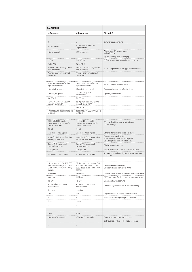| <b>BALANCERS</b>                                                                                                |                                                                                                                 |                                                                  |
|-----------------------------------------------------------------------------------------------------------------|-----------------------------------------------------------------------------------------------------------------|------------------------------------------------------------------|
| vbBalancer                                                                                                      | vbBalancer+                                                                                                     | <b>REMARKS</b>                                                   |
|                                                                                                                 |                                                                                                                 |                                                                  |
| $\overline{c}$                                                                                                  | 4                                                                                                               | Simultaneous sampling                                            |
| Accelerometer<br>.                                                                                              | Accelerometer, Velocity,<br>Displacement                                                                        |                                                                  |
| 16 V peak-peak                                                                                                  | 16 V peak-peak                                                                                                  | Allows for $\pm$ 8 V sensor output<br>swing $(\pm 80 \text{ g})$ |
|                                                                                                                 |                                                                                                                 | e.g. for reading prox-probe gap                                  |
| 2x BNC                                                                                                          | BNC, LEMO                                                                                                       | Safety feature: Break-free inline connector                      |
| 24-bit ADC                                                                                                      | 24-bit ADC                                                                                                      |                                                                  |
| 0 mA or 2.2 mA (configurable).<br>24 V maximum                                                                  | 0 mA or 2.2 mA (configurable).<br>24 V maximum                                                                  | 2.2 mA required for ICP®-type accelerometer                      |
| Warns if short circuit or not<br>connected                                                                      | Warns if short circuit or not<br>connected                                                                      |                                                                  |
|                                                                                                                 |                                                                                                                 |                                                                  |
| Laser sensor with reflective<br>tape included in kit                                                            | Laser sensor with reflective<br>tape included in kit                                                            | Sensor triggers on beam reflection                               |
| 10 cm to 2 m nominal                                                                                            | 10 cm to 2 m nominal                                                                                            | Dependent on size of reflective tape                             |
| Contact, TTL pulse                                                                                              | Contact, TTL pulse,<br>Keyphasor®                                                                               | Optically isolated input                                         |
| 5 V, 50 mA                                                                                                      | 5 V, 50 mA                                                                                                      |                                                                  |
| 3.5 V (4 mA) min, 28 V (6 mA)<br>max. off-state 0.8 V                                                           | 3.5 V (4 mA) min, 28 V (6 mA)<br>max, off-state 0.8 V<br>$13V \pm 1V$                                           |                                                                  |
| 30 RPM to 300 000 RPM (0.5 Hz<br>to 5 kHz)                                                                      | 30 RPM to 300 000 RPM (0.5 Hz<br>to 5 kHz)                                                                      |                                                                  |
|                                                                                                                 |                                                                                                                 |                                                                  |
| >1000 g (10 000 m/s2),<br>>1000 in/sec (25 000 mm/s),<br>>100 in (2500 mm)<br>>95 dB                            | >1000 g (10 000 m/s2),<br>>1000 in/sec (25 000 mm/s),<br>>100 in (2500 mm)<br>>95 dB                            | Effective limit is sensor sensitivity and<br>output voltage<br>. |
| Less than -70 dB typical                                                                                        | Less than -70 dB typical                                                                                        | Other distortions and noise are lower                            |
| g or m/s2, in/s or mm/s, mil or<br>mm or µm adB, vdB                                                            | g or m/s2, in/s or mm/s, mil or<br>mm or µm adB, vdB                                                            | 0-peak, peak-peak or RMS.<br>Auto-scale by 1000x when required   |
| Overall RMS value, dual<br>cursors, harmonics                                                                   | Overall RMS value, dual<br>cursors, harmonics                                                                   | US & SI options for both adB & vdB<br>Digital readouts on chart  |
| $± 1\% (0.1 dB)$                                                                                                | $± 1\% (0.1 dB)$                                                                                                | For DC level (%F.S.) & AC measured at 100 Hz                     |
| $\pm$ 3 dB from 1 Hz to 5 kHz                                                                                   | ± 3 dB from 1 Hz to 5 kHz                                                                                       | Acceleration and velocity. From value measured<br>at 100 Hz      |
|                                                                                                                 |                                                                                                                 |                                                                  |
| 25, 50, 100, 125, 150, 200, 300,<br>400, 500, 600, 800, 1000, 1200,<br>1600, 2000, 2500, 3000, 4000,<br>5000 Hz | 25, 50, 100, 125, 150, 200, 300,<br>400, 500, 600, 800, 1000, 1200,<br>1600, 2000, 2500, 3000, 4000,<br>5000 Hz | Or equivalent CPM values<br>Or orders-based from 1X to 999X      |
| 0 to Fmax                                                                                                       | 0 to Fmax                                                                                                       | vb instrument zeroes all spectral lines below Fmin               |
| 800 lines                                                                                                       | 800 lines                                                                                                       | 3200 lines max. for dual channel measurements                    |
| Hz, CPM                                                                                                         | Hz, CPM                                                                                                         | Linear scale with zooming                                        |
| Acceleration, velocity or<br>displacement                                                                       | Acceleration, velocity or<br>displacement                                                                       | Linear or log scales, auto or manual scaling                     |
| Hanning                                                                                                         | Hanning                                                                                                         |                                                                  |
| 50%                                                                                                             | 50%                                                                                                             | Dependent on Fmax and number of lines                            |
| 4                                                                                                               | 4                                                                                                               | Increases sampling time proportionally                           |
| Linear                                                                                                          | Linear                                                                                                          |                                                                  |
|                                                                                                                 |                                                                                                                 |                                                                  |
|                                                                                                                 |                                                                                                                 |                                                                  |
| 2048                                                                                                            | 2048                                                                                                            |                                                                  |
| 160 ms to 32 seconds                                                                                            | 160 ms to 32 seconds                                                                                            | Or orders based from 1 to 999 revs                               |
|                                                                                                                 |                                                                                                                 | Only available when tachometer triggered                         |
|                                                                                                                 |                                                                                                                 |                                                                  |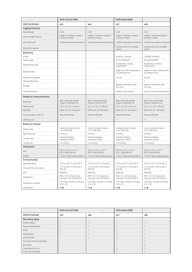|                                     | <b>DATA COLLECTORS</b>                                    |                                                             | DATA ANALYZERS                                              |                                                           |
|-------------------------------------|-----------------------------------------------------------|-------------------------------------------------------------|-------------------------------------------------------------|-----------------------------------------------------------|
| <b>SPECIFICATIONS</b>               | vb5                                                       | v <sub>b6</sub>                                             | vb7                                                         | v <sub>b8</sub>                                           |
| <b>Logging Features</b>             |                                                           |                                                             |                                                             |                                                           |
| Data storage                        | 1 GB                                                      | 1 GB                                                        | 1 GB                                                        | 1 GB                                                      |
| Data storage structure              | Folders / machines / points /<br>locations /routes        | Folders / machines / points /<br>locations /routes          | Folders / machines / points /<br>locations /routes          | Folders / machines / points /<br>locations /routes        |
| Max Folder size                     | 10 000 measurement locations                              | 10 000 measurement locations                                | 10 000 measurement locations                                | 10 000 measurement locations                              |
| Direct print reports                |                                                           |                                                             | Via Ethernet to PCL-enabled<br>printer                      | Via Ethernet to PCL-enabled<br>printer                    |
| Balancing                           |                                                           |                                                             |                                                             |                                                           |
| Planes                              |                                                           |                                                             | 2 planes, 2 sensors                                         | 2 planes, 4 sensors                                       |
| Speed range                         |                                                           |                                                             | 30 to 60 000 RPM                                            | 30 to 60 000 RPM                                          |
| Measurement type                    |                                                           |                                                             | Acceleration, velocity,<br>displacement                     | Acceleration, velocity,<br>displacement                   |
| Weight modes                        |                                                           |                                                             | Angle 0° to 360°, fixed position,<br>circumference arc      | Angle 0° to 360°, fixed position,<br>circumference arc    |
| Remove trial weights                |                                                           |                                                             | Yes, No                                                     | Yes, No                                                   |
| Manual data entry                   |                                                           |                                                             |                                                             | $\sqrt{}$                                                 |
| Storage                             |                                                           |                                                             | Against machines in data<br>structure                       | Against machines in data<br>structure                     |
| Channel selection                   |                                                           | $\overline{\phantom{a}}$                                    | Single or dual channel                                      | Up to 4 channels simultaneous                             |
| <b>Display &amp; Communications</b> |                                                           |                                                             |                                                             |                                                           |
| Resolution                          | 480 x 320 pixels (HVGA)<br>Graphic Greyscale LCD          | 480 x 320 pixels (HVGA)<br>Graphic Greyscale LCD            | 480 x 320 pixels (HVGA)<br>Graphic Greyscale LCD            | 480 x 320 pixels (HVGA)<br>Graphic Greyscale LCD          |
| Viewing area                        | $4.6'' \times 3.1''$ (117 x 79) mm                        | $4.6'' \times 3.1''$ (117 x 79) mm                          | $4.6'' \times 3.1''$ (117 $\times$ 79) mm                   | $4.6'' \times 3.1''$ (117 $\times$ 79) mm                 |
| Backlight                           | White LED, 4V, 100 Cd/m2                                  | White LED, 4V, 100 Cd/m2                                    | White LED, 4V, 100 Cd/m2                                    | White LED, 4V, 100 Cd/m2                                  |
| Communications with PC              | USB and Ethernet                                          | USB and Ethernet                                            | USB and Ethernet                                            | USB and Ethernet                                          |
| USB host port                       |                                                           |                                                             |                                                             | $\sqrt{}$                                                 |
| <b>Battery &amp; Charger</b>        |                                                           |                                                             |                                                             |                                                           |
| <b>Battery Type</b>                 | Custom Lithium Ion pack,<br>7.4 V, 4500 mAh               | Custom Lithium Ion pack,<br>7.4 V, 4500 mAh                 | Custom Lithium Ion pack,<br>7.4 V, 4500 mAh                 | Custom Lithium Ion pack,<br>7.4 V, 4500 mAh               |
| Operating time                      | 10 hours                                                  | 10 hours                                                    | 10 hours                                                    | 10 hours                                                  |
| Charger type                        | Internal charging,<br>automatic control                   | Internal charging,<br>automatic control                     | Internal charging,<br>automatic control                     | Internal charging,<br>automatic control                   |
| Charge rate                         | 3 A nominal                                               | 3 A nominal                                                 | 3 A nominal                                                 | 3 A nominal                                               |
| Mechanical                          |                                                           |                                                             |                                                             |                                                           |
| Size                                | 9.9" W x 5.8" L x 2.4" H<br>(252 x 148x 60) mm            | 9.9" W x 5.8" L x 2.4" H<br>$(252 \times 148 \times 60)$ mm | 9.9" W x 5.8" L x 2.4" H<br>$(252 \times 148 \times 60)$ mm | 9.9" W x 5.8" L x 2.4" H<br>(252 x 148x 60) mm            |
| Weight                              | 2.7 lb (1.2 kg) including battery                         | 2.7 lb (1.2 kg) including battery                           | 2.7 lb (1.2 kg) including battery                           | 2.7 lb (1.2 kg) including battery                         |
| Environmental                       |                                                           |                                                             |                                                             |                                                           |
| Operating Temp                      | 14 °F to 122 °F (-10 to 50) °C                            | 14 °F to 122 °F (-10 to 50) °C                              | 14 °F to 122 °F (-10 to 50) °C                              | 14 °F to 122 °F (-10 to 50) °C                            |
| Storage Temp & Humidity             | -4 °F to 140 °F (-20 to 60) °C.<br>95% RH                 | -4 °F to 140 °F (-20 to 60) °C,<br>95% RH                   | -4 °F to 140 °F (-20 to 60) °C,<br>95% RH                   | -4 °F to 140 °F (-20 to 60) °C,<br>95% RH                 |
| EMC                                 | EN61326                                                   | EN61326                                                     | EN61326                                                     | EN61326                                                   |
| Ruggedness                          | IP65 / 4' (1.2 m) drop onto<br>concrete / MIL-STD-810F-IV | IP65 / 4' (1.2 m) drop onto<br>concrete / MIL-STD-810F-IV   | IP65 / 4' (1.2 m) drop onto<br>concrete / MIL-STD-810F-IV   | IP65 / 4' (1.2 m) drop onto<br>concrete / MIL-STD-810F-IV |
| <b>Hazardous Locations</b>          | CSA Class I, Division 2 (Groups<br>A, B, C, D)            | CSA Class I, Division 2 (Groups<br>A, B, C, D)              | CSA Class I, Division 2 (Groups<br>A, B, C, D)              | CSA Class I, Division 2 (Groups<br>A, B, C, D)            |
| Certification                       | $c \in \mathbf{C}$                                        | $C \in \mathbf{C}$                                          | $c \in \mathbf{C}$                                          | $C \in \mathbf{C}$                                        |

|                            | DATA COLLECTORS |     | DATA ANALYZERS |     |
|----------------------------|-----------------|-----|----------------|-----|
| <b>SPECIFICATIONS</b>      | vb5             | vb6 | vb7            | vb8 |
| <b>Recording Types</b>     |                 |     |                |     |
| Route enabled              | <b>.</b>        | .   | .              |     |
| Spectrum/Waveform          |                 |     | .              |     |
| 6Pack                      |                 |     |                |     |
| Keypad entry               |                 | .   | .              |     |
| Average value              |                 |     |                |     |
| Time Synchronous Averaging |                 |     |                |     |
| Bump test                  |                 |     |                |     |
| Coast-down/Run-up          |                 |     |                |     |
| Cross-channel phase        |                 |     |                |     |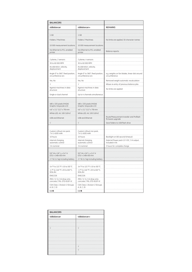| <b>BALANCERS</b>                                          |                                                           |                                                                 |
|-----------------------------------------------------------|-----------------------------------------------------------|-----------------------------------------------------------------|
| vbBalancer                                                | vbBalancer+                                               | <b>REMARKS</b>                                                  |
|                                                           |                                                           |                                                                 |
| 1 GB                                                      | 1 GB                                                      |                                                                 |
| Folders / Machines                                        | Folders / Machines                                        | No limits are applied, 50 character names                       |
| 10 000 measurement locations                              | 10 000 measurement locations                              |                                                                 |
| Via Ethernet to PCL-enabled<br>printer                    | Via Ethernet to PCL-enabled<br>printer                    | <b>Balance reports</b>                                          |
|                                                           |                                                           |                                                                 |
| 2 planes, 2 sensors                                       | 2 planes, 4 sensors                                       |                                                                 |
| 30 to 60 000 RPM                                          | 30 to 60 000 RPM                                          |                                                                 |
| Acceleration, velocity,<br>displacement                   | Acceleration, velocity,<br>displacement                   |                                                                 |
| Angle 0° to 360°, fixed position,<br>circumference arc    | Angle 0° to 360°, fixed position,<br>circumference arc    | e.g. weights on fan blades, linear dist around<br>circumference |
| Yes, No                                                   | Yes, No                                                   | Removed weight automatic recalculation                          |
| $\sqrt{}$                                                 | $\sqrt{}$                                                 | Allows re-entry of previous balance jobs                        |
| Against machines in data<br>structure                     | Agginst machines in data<br>structure                     | No limits are applied                                           |
| Single or dual channel                                    | Up to 4 channels simultaneous                             |                                                                 |
|                                                           |                                                           |                                                                 |
| 480 x 320 pixels (HVGA)<br>Graphic Greyscale LCD          | 480 x 320 pixels (HVGA)<br>Graphic Greyscale LCD          |                                                                 |
| $4.6'' \times 3.1''$ (117 $\times$ 79) mm                 | $4.6'' \times 3.1''$ (117 $\times$ 79) mm                 |                                                                 |
| White LED, 4V, 100 Cd/m2                                  | White LED, 4V, 100 Cd/m2                                  |                                                                 |
| USB and Ethernet                                          | USB and Ethernet                                          | Route/Measurement transfer and Proflash<br>firmware upgrade     |
| $\sqrt{}$                                                 | $\sqrt{}$                                                 | Save folders to USB flash drive                                 |
|                                                           |                                                           |                                                                 |
| Custom Lithium Ion pack,<br>7.4 V, 4500 mAh               | Custom Lithium Ion pack,<br>7.4 V, 4500 mAh               |                                                                 |
| 10 hours                                                  | 10 hours                                                  | Backlight on (60 second timeout)                                |
| Internal charging,<br>automatic control                   | Internal charging,<br>automatic control                   | External Power pack 12 V DC, 3 A output,<br>included in kit     |
| 3 A nominal                                               | 3 A nominal                                               | 3 hours for complete charge                                     |
|                                                           |                                                           |                                                                 |
| 9.9" W x 5.8" L x 2.4" H<br>(252 x 148x 60) mm            | 9.9" W x 5.8" L x 2.4" H<br>(252 x 148x 60) mm            |                                                                 |
| 2.7 lb (1.2 kg) including battery                         | 2.7 lb (1.2 kg) including battery                         |                                                                 |
|                                                           |                                                           |                                                                 |
| 14 °F to 122 °F (-10 to 50) °C                            | 14 °F to 122 °F (-10 to 50) °C                            |                                                                 |
| -4 °F to 140 °F (-20 to 60) °C,<br>95% RH                 | -4 °F to 140 °F (-20 to 60) °C,<br>95% RH                 |                                                                 |
| EN61326                                                   | EN61326                                                   |                                                                 |
| IP65 / 4' (1.2 m) drop onto<br>concrete / MIL-STD-810F-IV | IP65 / 4' (1.2 m) drop onto<br>concrete / MIL-STD-810F-IV |                                                                 |
| CSA Class I, Division 2 (Groups<br>A, B, C, D)            | CSA Class I, Division 2 (Groups<br>A, B, C, D)            |                                                                 |
| $c \in \mathbf{C}$                                        | $c \in \mathbf{C}$                                        |                                                                 |

| <b>BALANCERS</b> |             |  |
|------------------|-------------|--|
| vbBalancer       | vbBalancer+ |  |
|                  |             |  |
|                  |             |  |
|                  | N           |  |
|                  |             |  |
|                  |             |  |
|                  |             |  |
|                  |             |  |
|                  |             |  |
|                  |             |  |